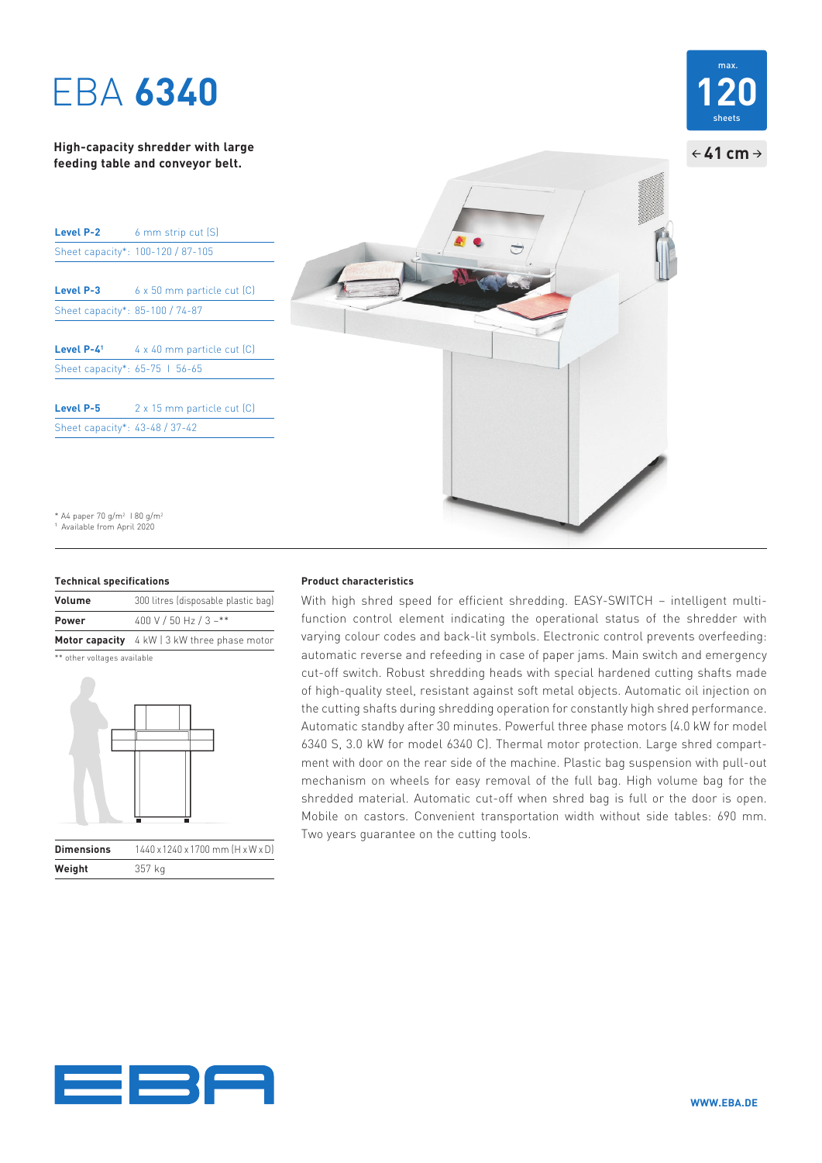# EBA **6340**

## **High-capacity shredder with large feeding table and conveyor belt.**

| Level P-2                       | 6 mm strip cut (S)                  |
|---------------------------------|-------------------------------------|
|                                 | Sheet capacity*: 100-120 / 87-105   |
|                                 |                                     |
| <b>Level P-3</b>                | 6 x 50 mm particle cut (C)          |
| Sheet capacity*: 85-100 / 74-87 |                                     |
|                                 |                                     |
| Level $P-41$                    | $4 \times 40$ mm particle cut $(C)$ |
| Sheet capacity*: 65-75   56-65  |                                     |
|                                 |                                     |
| <b>Level P-5</b>                | 2 x 15 mm particle cut [C]          |
| Sheet capacity*: 43-48 / 37-42  |                                     |

\* A4 paper 70 g/m<sup>2</sup> 1 80 g/m<sup>2</sup> 1 Available from April 2020

### **Technical specifications**

| Volume | 300 litres (disposable plastic bag)          |
|--------|----------------------------------------------|
| Power  | 400 V / 50 Hz / 3 ~**                        |
|        | Motor capacity 4 kW   3 kW three phase motor |

\*\* other voltages available



| <b>Dimensions</b> | $1440 \times 1240 \times 1700$ mm $(H \times W \times D)$ |
|-------------------|-----------------------------------------------------------|
| Weight            | 357 kg                                                    |

### **Product characteristics**

With high shred speed for efficient shredding. EASY-SWITCH – intelligent multifunction control element indicating the operational status of the shredder with varying colour codes and back-lit symbols. Electronic control prevents overfeeding: automatic reverse and refeeding in case of paper jams. Main switch and emergency cut-off switch. Robust shredding heads with special hardened cutting shafts made of high-quality steel, resistant against soft metal objects. Automatic oil injection on the cutting shafts during shredding operation for constantly high shred performance. Automatic standby after 30 minutes. Powerful three phase motors (4.0 kW for model 6340 S, 3.0 kW for model 6340 C). Thermal motor protection. Large shred compartment with door on the rear side of the machine. Plastic bag suspension with pull-out mechanism on wheels for easy removal of the full bag. High volume bag for the shredded material. Automatic cut-off when shred bag is full or the door is open. Mobile on castors. Convenient transportation width without side tables: 690 mm. Two years guarantee on the cutting tools.